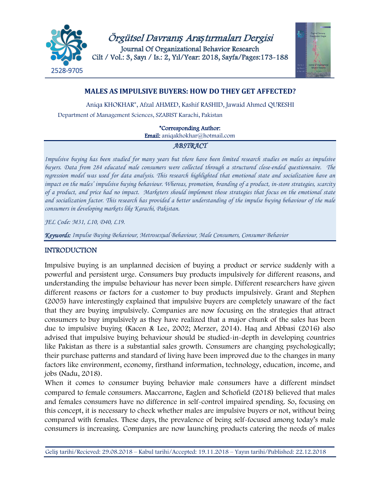

Örgütsel Davranı*ş* Ara*ş*tırmaları Dergisi Journal Of Organizational Behavior Research Cilt / Vol.: 3, Sayı / Is.: 2, Yıl/Year: 2018, Sayfa/Pages:173-188



## **MALES AS IMPULSIVE BUYERS: HOW DO THEY GET AFFECTED?**

Aniqa KHOKHAR\*, Afzal AHMED, Kashif RASHID, Jawaid Ahmed QURESHI Department of Management Sciences, SZABIST Karachi, Pakistan

\*Corresponding Author:

Email: [aniqakhokhar@hotmail.com](mailto:aniqakhokhar@hotmail.com)

## *ABSTRACT*

*Impulsive buying has been studied for many years but there have been limited research studies on males as impulsive buyers. Data from 284 educated male consumers were collected through a structured close-ended questionnaire. The regression model was used for data analysis. This research highlighted that emotional state and socialization have an impact on the males' impulsive buying behaviour. Whereas, promotion, branding of a product, in-store strategies, scarcity of a product, and price had no impact. Marketers should implement those strategies that focus on the emotional state and socialization factor. This research has provided a better understanding of the impulse buying behaviour of the male consumers in developing markets like Karachi, Pakistan.* 

*JEL Code: M31, L10, D40, L19.*

*Keywords: Impulse Buying Behaviour, Metrosexual Behaviour, Male Consumers, Consumer Behavior* 

## INTRODUCTION

Impulsive buying is an unplanned decision of buying a product or service suddenly with a powerful and persistent urge. Consumers buy products impulsively for different reasons, and understanding the impulse behaviour has never been simple. Different researchers have given different reasons or factors for a customer to buy products impulsively. Grant and Stephen (2005) have interestingly explained that impulsive buyers are completely unaware of the fact that they are buying impulsively. Companies are now focusing on the strategies that attract consumers to buy impulsively as they have realized that a major chunk of the sales has been due to impulsive buying (Kacen & Lee, 2002; Merzer, 2014). Haq and Abbasi (2016) also advised that impulsive buying behaviour should be studied-in-depth in developing countries like Pakistan as there is a substantial sales growth. Consumers are changing psychologically; their purchase patterns and standard of living have been improved due to the changes in many factors like environment, economy, firsthand information, technology, education, income, and jobs (Nadu, 2018).

When it comes to consumer buying behavior male consumers have a different mindset compared to female consumers. Maccarrone, Eaglen and Schofield (2018) believed that males and females consumers have no difference in self-control impaired spending. So, focusing on this concept, it is necessary to check whether males are impulsive buyers or not, without being compared with females. These days, the prevalence of being self-focused among today's male consumers is increasing. Companies are now launching products catering the needs of males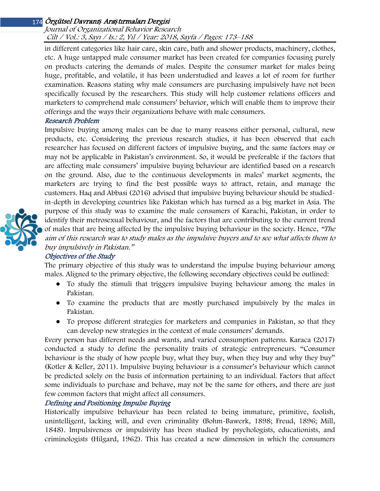#### Journal of Organizational Behavior Research Cilt / Vol.: 3, Sayı / Is.: 2, Yıl / Year: 2018, Sayfa / Pages: 173–188

in different categories like hair care, skin care, bath and shower products, machinery, clothes, etc. A huge untapped male consumer market has been created for companies focusing purely on products catering the demands of males. Despite the consumer market for males being huge, profitable, and volatile, it has been understudied and leaves a lot of room for further examination. Reasons stating why male consumers are purchasing impulsively have not been specifically focused by the researchers. This study will help customer relations officers and marketers to comprehend male consumers' behavior, which will enable them to improve their offerings and the ways their organizations behave with male consumers.

## Research Problem

Impulsive buying among males can be due to many reasons either personal, cultural, new products, etc. Considering the previous research studies, it has been observed that each researcher has focused on different factors of impulsive buying, and the same factors may or may not be applicable in Pakistan's environment. So, it would be preferable if the factors that are affecting male consumers' impulsive buying behaviour are identified based on a research on the ground. Also, due to the continuous developments in males' market segments, the marketers are trying to find the best possible ways to attract, retain, and manage the customers. Haq and Abbasi (2016) advised that impulsive buying behaviour should be studiedin-depth in developing countries like Pakistan which has turned as a big market in Asia. The purpose of this study was to examine the male consumers of Karachi, Pakistan, in order to identify their metrosexual behaviour, and the factors that are contributing to the current trend of males that are being affected by the impulsive buying behaviour in the society. Hence, "The aim of this research was to study males as the impulsive buyers and to see what affects them to buy impulsively in Pakistan."

#### Objectives of the Study

The primary objective of this study was to understand the impulse buying behaviour among males. Aligned to the primary objective, the following secondary objectives could be outlined:

- To study the stimuli that triggers impulsive buying behaviour among the males in Pakistan.
- To examine the products that are mostly purchased impulsively by the males in Pakistan.
- To propose different strategies for marketers and companies in Pakistan, so that they can develop new strategies in the context of male consumers' demands.

Every person has different needs and wants, and varied consumption patterns. Karaca (2017) conducted a study to define the personality traits of strategic entrepreneurs. "Consumer behaviour is the study of how people buy, what they buy, when they buy and why they buy" (Kotler & Keller, 2011). Impulsive buying behaviour is a consumer's behaviour which cannot be predicted solely on the basis of information pertaining to an individual. Factors that affect some individuals to purchase and behave, may not be the same for others, and there are just few common factors that might affect all consumers.

#### Defining and Positioning Impulse Buying

Historically impulsive behaviour has been related to being immature, primitive, foolish, unintelligent, lacking will, and even criminality (Bohm-Bawerk, 1898; Freud, 1896; Mill, 1848). Impulsiveness or impulsivity has been studied by psychologists, educationists, and criminologists (Hilgard, 1962). This has created a new dimension in which the consumers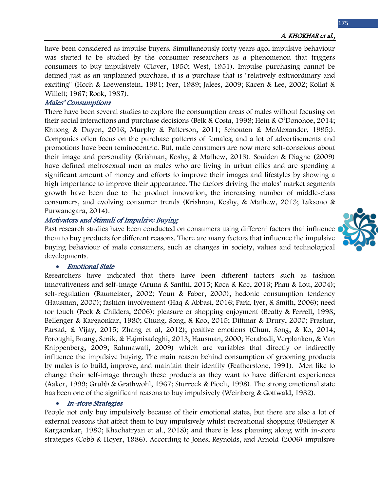have been considered as impulse buyers. Simultaneously forty years ago, impulsive behaviour was started to be studied by the consumer researchers as a phenomenon that triggers consumers to buy impulsively (Clover, 1950; West, 1951). Impulse purchasing cannot be defined just as an unplanned purchase, it is a purchase that is "relatively extraordinary and exciting" (Hoch & Loewenstein, 1991; Iyer, 1989; Jalees, 2009; Kacen & Lee, 2002; Kollat & Willett; 1967; Rook, 1987).

#### Males' Consumptions

There have been several studies to explore the consumption areas of males without focusing on their social interactions and purchase decisions (Belk & Costa, 1998; Hein & O'Donohoe, 2014; Khuong & Duyen, 2016; Murphy & Patterson, 2011; Schouten & McAlexander, 1995;). Companies often focus on the purchase patterns of females; and a lot of advertisements and promotions have been feminocentric. But, male consumers are now more self-conscious about their image and personality (Krishnan, Koshy, & Mathew, 2013). Souiden & Diagne (2009) have defined metrosexual men as males who are living in urban cities and are spending a significant amount of money and efforts to improve their images and lifestyles by showing a high importance to improve their appearance. The factors driving the males' market segments growth have been due to the product innovation, the increasing number of middle-class consumers, and evolving consumer trends (Krishnan, Koshy, & Mathew, 2013; Laksono & Purwanegara, 2014).

## Motivators and Stimuli of Impulsive Buying

Past research studies have been conducted on consumers using different factors that influence them to buy products for different reasons. There are many factors that influence the impulsive buying behaviour of male consumers, such as changes in society, values and technological developments.

#### • Emotional State

Researchers have indicated that there have been different factors such as fashion innovativeness and self-image (Aruna & Santhi, 2015; Koca & Koc, 2016; Phau & Lou, 2004); self-regulation (Baumeister, 2002; Youn & Faber, 2000); hedonic consumption tendency (Hausman, 2000); fashion involvement (Haq & Abbasi, 2016; Park, Iyer, & Smith, 2006); need for touch (Peck & Childers, 2006); pleasure or shopping enjoyment (Beatty & Ferrell, 1998; Bellenger & Kargaonkar, 1980; Chung, Song, & Koo, 2015; Dittmar & Drury, 2000; Prashar, Parsad, & Vijay, 2015; Zhang et al, 2012); positive emotions (Chun, Song, & Ko, 2014; Foroughi, Buang, Senik, & Hajmisadeghi, 2013; Hausman, 2000; Herabadi, Verplanken, & Van Knippenberg, 2009; Rahmawati, 2009) which are variables that directly or indirectly influence the impulsive buying. The main reason behind consumption of grooming products by males is to build, improve, and maintain their identity (Featherstone, 1991). Men like to change their self-image through these products as they want to have different experiences (Aaker, 1999; Grubb & Grathwohl, 1967; Sturrock & Pioch, 1998). The strong emotional state has been one of the significant reasons to buy impulsively (Weinberg & Gottwald, 1982).

#### • In-store Strategies

People not only buy impulsively because of their emotional states, but there are also a lot of external reasons that affect them to buy impulsively whilst recreational shopping (Bellenger & Kargaonkar, 1980; Khachatryan et al., 2018); and there is less planning along with in-store strategies (Cobb & Hoyer, 1986). According to Jones, Reynolds, and Arnold (2006) impulsive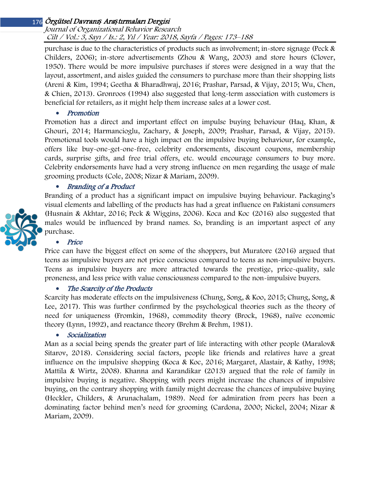#### Journal of Organizational Behavior Research Cilt / Vol.: 3, Sayı / Is.: 2, Yıl / Year: 2018, Sayfa / Pages: 173–188

purchase is due to the characteristics of products such as involvement; in-store signage (Peck & Childers, 2006); in-store advertisements (Zhou & Wang, 2003) and store hours (Clover, 1950). There would be more impulsive purchases if stores were designed in a way that the layout, assortment, and aisles guided the consumers to purchase more than their shopping lists (Areni & Kim, 1994; Geetha & Bharadhwaj, 2016; Prashar, Parsad, & Vijay, 2015; Wu, Chen, & Chien, 2013). Gronroos (1994) also suggested that long-term association with customers is beneficial for retailers, as it might help them increase sales at a lower cost.

• Promotion

Promotion has a direct and important effect on impulse buying behaviour (Haq, Khan, & Ghouri, 2014; Harmancioglu, Zachary, & Joseph, 2009; Prashar, Parsad, & Vijay, 2015). Promotional tools would have a high impact on the impulsive buying behaviour, for example, offers like buy-one-get-one-free, celebrity endorsements, discount coupons, membership cards, surprise gifts, and free trial offers, etc. would encourage consumers to buy more. Celebrity endorsements have had a very strong influence on men regarding the usage of male grooming products (Cole, 2008; Nizar & Mariam, 2009).

## • Branding of a Product

Branding of a product has a significant impact on impulsive buying behaviour. Packaging's visual elements and labelling of the products has had a great influence on Pakistani consumers (Husnain & Akhtar, 2016; Peck & Wiggins, 2006). Koca and Koc (2016) also suggested that males would be influenced by brand names. So, branding is an important aspect of any purchase.

## • Price

Price can have the biggest effect on some of the shoppers, but Muratore (2016) argued that teens as impulsive buyers are not price conscious compared to teens as non-impulsive buyers. Teens as impulsive buyers are more attracted towards the prestige, price-quality, sale proneness, and less price with value consciousness compared to the non-impulsive buyers.

#### • The Scarcity of the Products

Scarcity has moderate effects on the impulsiveness (Chung, Song, & Koo, 2015; Chung, Song, & Lee, 2017). This was further confirmed by the psychological theories such as the theory of need for uniqueness (Fromkin, 1968), commodity theory (Brock, 1968), naïve economic theory (Lynn, 1992), and reactance theory (Brehm & Brehm, 1981).

#### • Socialization

Man as a social being spends the greater part of life interacting with other people (Maralov& Sitarov, 2018). Considering social factors, people like friends and relatives have a great influence on the impulsive shopping (Koca & Koc, 2016; Margaret, Alastair, & Kathy, 1998; Mattila & Wirtz, 2008). Khanna and Karandikar (2013) argued that the role of family in impulsive buying is negative. Shopping with peers might increase the chances of impulsive buying, on the contrary shopping with family might decrease the chances of impulsive buying (Heckler, Childers, & Arunachalam, 1989). Need for admiration from peers has been a dominating factor behind men's need for grooming (Cardona, 2000; Nickel, 2004; Nizar & Mariam, 2009).

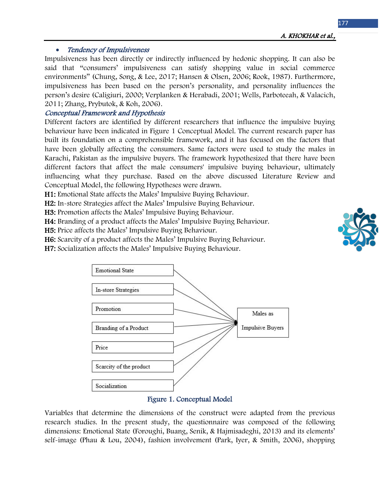## • Tendency of Impulsiveness

Impulsiveness has been directly or indirectly influenced by hedonic shopping. It can also be said that "consumers' impulsiveness can satisfy shopping value in social commerce environments" (Chung, Song, & Lee, 2017; Hansen & Olsen, 2006; Rook, 1987). Furthermore, impulsiveness has been based on the person's personality, and personality influences the person's desire (Caligiuri, 2000; Verplanken & Herabadi, 2001; Wells, Parboteeah, & Valacich, 2011; Zhang, Prybutok, & Koh, 2006).

## Conceptual Framework and Hypothesis

Different factors are identified by different researchers that influence the impulsive buying behaviour have been indicated in Figure 1 Conceptual Model. The current research paper has built its foundation on a comprehensible framework, and it has focused on the factors that have been globally affecting the consumers. Same factors were used to study the males in Karachi, Pakistan as the impulsive buyers. The framework hypothesized that there have been different factors that affect the male consumers' impulsive buying behaviour, ultimately influencing what they purchase. Based on the above discussed Literature Review and Conceptual Model, the following Hypotheses were drawn.

H1: Emotional State affects the Males' Impulsive Buying Behaviour.

H2: In-store Strategies affect the Males' Impulsive Buying Behaviour.

H3: Promotion affects the Males' Impulsive Buying Behaviour.

H4: Branding of a product affects the Males' Impulsive Buying Behaviour.

H5: Price affects the Males' Impulsive Buying Behaviour.

H6: Scarcity of a product affects the Males' Impulsive Buying Behaviour.

H7: Socialization affects the Males' Impulsive Buying Behaviour.



#### Figure 1. Conceptual Model

Variables that determine the dimensions of the construct were adapted from the previous research studies. In the present study, the questionnaire was composed of the following dimensions: Emotional State (Foroughi, Buang, Senik, & Hajmisadeghi, 2013) and its elements' self-image (Phau & Lou, 2004), fashion involvement (Park, Iyer, & Smith, 2006), shopping

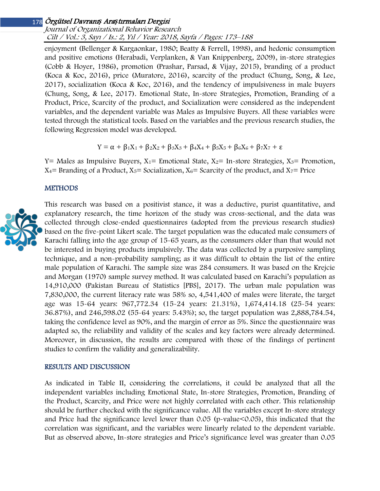#### Journal of Organizational Behavior Research Cilt / Vol.: 3, Sayı / Is.: 2, Yıl / Year: 2018, Sayfa / Pages: 173–188

enjoyment (Bellenger & Kargaonkar, 1980; Beatty & Ferrell, 1998), and hedonic consumption and positive emotions (Herabadi, Verplanken, & Van Knippenberg, 2009), in-store strategies (Cobb & Hoyer, 1986), promotion (Prashar, Parsad, & Vijay, 2015), branding of a product (Koca & Koc, 2016), price (Muratore, 2016), scarcity of the product (Chung, Song, & Lee, 2017), socialization (Koca & Koc, 2016), and the tendency of impulsiveness in male buyers (Chung, Song, & Lee, 2017). Emotional State, In-store Strategies, Promotion, Branding of a Product, Price, Scarcity of the product, and Socialization were considered as the independent variables, and the dependent variable was Males as Impulsive Buyers. All these variables were tested through the statistical tools. Based on the variables and the previous research studies, the following Regression model was developed.

$$
Y = \alpha + \beta_1 X_1 + \beta_2 X_2 + \beta_3 X_3 + \beta_4 X_4 + \beta_5 X_5 + \beta_6 X_6 + \beta_7 X_7 + \epsilon
$$

Y= Males as Impulsive Buyers,  $X_1$ = Emotional State,  $X_2$ = In-store Strategies,  $X_3$ = Promotion,  $X_4$ = Branding of a Product,  $X_5$ = Socialization,  $X_6$ = Scarcity of the product, and  $X_7$ = Price

#### **METHODS**



This research was based on a positivist stance, it was a deductive, purist quantitative, and explanatory research, the time horizon of the study was cross-sectional, and the data was collected through close-ended questionnaires (adopted from the previous research studies) based on the five-point Likert scale. The target population was the educated male consumers of Karachi falling into the age group of 15-65 years, as the consumers older than that would not be interested in buying products impulsively. The data was collected by a purposive sampling technique, and a non-probability sampling; as it was difficult to obtain the list of the entire male population of Karachi. The sample size was 284 consumers. It was based on the Krejcie and Morgan (1970) sample survey method. It was calculated based on Karachi's population as 14,910,000 (Pakistan Bureau of Statistics [PBS], 2017). The urban male population was 7,830,000, the current literacy rate was 58% so, 4,541,400 of males were literate, the target age was 15-64 years: 967,772.34 (15-24 years: 21.31%), 1,674,414.18 (25-54 years: 36.87%), and 246,598.02 (55-64 years: 5.43%); so, the target population was 2,888,784.54, taking the confidence level as 90%, and the margin of error as 5%. Since the questionnaire was adapted so, the reliability and validity of the scales and key factors were already determined. Moreover, in discussion, the results are compared with those of the findings of pertinent studies to confirm the validity and generalizability.

#### RESULTS AND DISCUSSION

As indicated in [Table II,](#page-15-0) considering the correlations, it could be analyzed that all the independent variables including Emotional State, In-store Strategies, Promotion, Branding of the Product, Scarcity, and Price were not highly correlated with each other. This relationship should be further checked with the significance value. All the variables except In-store strategy and Price had the significance level lower than 0.05 (p-value<0.05), this indicated that the correlation was significant, and the variables were linearly related to the dependent variable. But as observed above, In-store strategies and Price's significance level was greater than 0.05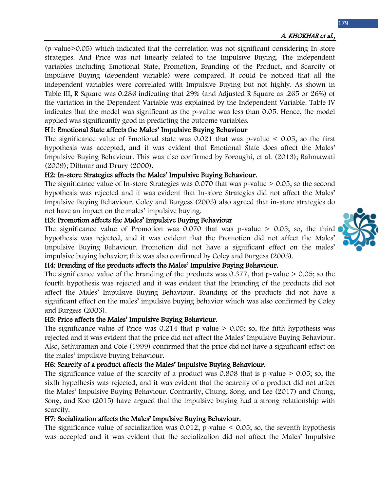(p-value>0.05) which indicated that the correlation was not significant considering In-store strategies. And Price was not linearly related to the Impulsive Buying. The independent variables including Emotional State, Promotion, Branding of the Product, and Scarcity of Impulsive Buying (dependent variable) were compared. It could be noticed that all the independent variables were correlated with Impulsive Buying but not highly. As shown in [Table III](#page-15-1), R Square was 0.286 indicating that 29% (and Adjusted R Square as .265 or 26%) of the variation in the Dependent Variable was explained by the Independent Variable. [Table IV](#page-15-2) indicates that the model was significant as the p-value was less than 0.05. Hence, the model applied was significantly good in predicting the outcome variables.

## H1: Emotional State affects the Males' Impulsive Buying Behaviour

The significance value of Emotional state was  $0.021$  that was p-value  $\leq 0.05$ , so the first hypothesis was accepted, and it was evident that Emotional State does affect the Males' Impulsive Buying Behaviour. This was also confirmed by Foroughi, et al. (2013); Rahmawati (2009); Dittmar and Drury (2000).

## H2: In-store Strategies affects the Males' Impulsive Buying Behaviour.

The significance value of In-store Strategies was 0.070 that was p-value > 0.05, so the second hypothesis was rejected and it was evident that In-store Strategies did not affect the Males' Impulsive Buying Behaviour. Coley and Burgess (2003) also agreed that in-store strategies do not have an impact on the males' impulsive buying.

#### H3: Promotion affects the Males' Impulsive Buying Behaviour

The significance value of Promotion was  $0.070$  that was p-value  $> 0.05$ ; so, the third hypothesis was rejected, and it was evident that the Promotion did not affect the Males' Impulsive Buying Behaviour. Promotion did not have a significant effect on the males' impulsive buying behavior; this was also confirmed by Coley and Burgess (2003).

#### H4: Branding of the products affects the Males' Impulsive Buying Behaviour.

The significance value of the branding of the products was  $0.377$ , that p-value  $> 0.05$ ; so the fourth hypothesis was rejected and it was evident that the branding of the products did not affect the Males' Impulsive Buying Behaviour. Branding of the products did not have a significant effect on the males' impulsive buying behavior which was also confirmed by Coley and Burgess (2003).

#### H5: Price affects the Males' Impulsive Buying Behaviour.

The significance value of Price was  $0.214$  that p-value  $> 0.05$ ; so, the fifth hypothesis was rejected and it was evident that the price did not affect the Males' Impulsive Buying Behaviour. Also, Sethuraman and Cole (1999) confirmed that the price did not have a significant effect on the males' impulsive buying behaviour.

## H6: Scarcity of a product affects the Males' Impulsive Buying Behaviour.

The significance value of the scarcity of a product was  $0.808$  that is p-value  $> 0.05$ ; so, the sixth hypothesis was rejected, and it was evident that the scarcity of a product did not affect the Males' Impulsive Buying Behaviour. Contrarily, Chung, Song, and Lee (2017) and Chung, Song, and Koo (2015) have argued that the impulsive buying had a strong relationship with scarcity.

## H7: Socialization affects the Males' Impulsive Buying Behaviour.

The significance value of socialization was 0.012, p-value  $\leq$  0.05; so, the seventh hypothesis was accepted and it was evident that the socialization did not affect the Males' Impulsive

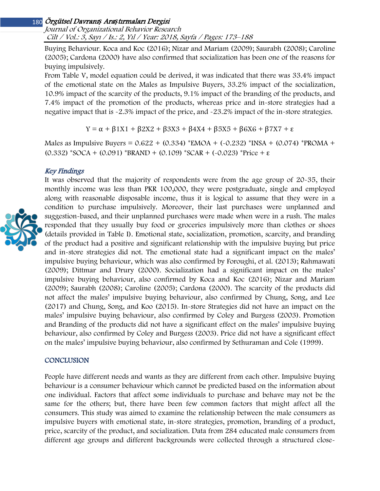Journal of Organizational Behavior Research Cilt / Vol.: 3, Sayı / Is.: 2, Yıl / Year: 2018, Sayfa / Pages: 173–188

Buying Behaviour. Koca and Koc (2016); Nizar and Mariam (2009); Saurabh (2008); Caroline (2005); Cardona (2000) have also confirmed that socialization has been one of the reasons for buying impulsively.

From [Table V,](#page-15-3) model equation could be derived, it was indicated that there was 33.4% impact of the emotional state on the Males as Impulsive Buyers, 33.2% impact of the socialization, 10.9% impact of the scarcity of the products, 9.1% impact of the branding of the products, and 7.4% impact of the promotion of the products, whereas price and in-store strategies had a negative impact that is -2.3% impact of the price, and -23.2% impact of the in-store strategies.

Y = α + β1X1 + β2X2 + β3X3 + β4X4 + β5X5 + β6X6 + β7X7 + ε

Males as Impulsive Buyers =  $0.622 + (0.334)$  \*EMOA +  $(-0.232)$  \*INSA +  $(0.074)$  \*PROMA + (0.332) \*SOCA + (0.091) \*BRAND + (0.109) \*SCAR + (-0.023) \*Price +  $\varepsilon$ 

#### Key Findings



It was observed that the majority of respondents were from the age group of 20-35, their monthly income was less than PKR 100,000, they were postgraduate, single and employed along with reasonable disposable income, thus it is logical to assume that they were in a condition to purchase impulsively. Moreover, their last purchases were unplanned and suggestion-based, and their unplanned purchases were made when were in a rush. The males responded that they usually buy food or groceries impulsively more than clothes or shoes (details provided in [Table I\)](#page-14-0). Emotional state, socialization, promotion, scarcity, and branding of the product had a positive and significant relationship with the impulsive buying but price and in-store strategies did not. The emotional state had a significant impact on the males' impulsive buying behaviour, which was also confirmed by Foroughi, et al. (2013); Rahmawati (2009); Dittmar and Drury (2000). Socialization had a significant impact on the males' impulsive buying behaviour, also confirmed by Koca and Koc (2016); Nizar and Mariam (2009); Saurabh (2008); Caroline (2005); Cardona (2000). The scarcity of the products did not affect the males' impulsive buying behaviour, also confirmed by Chung, Song, and Lee (2017) and Chung, Song, and Koo (2015). In-store Strategies did not have an impact on the males' impulsive buying behaviour, also confirmed by Coley and Burgess (2003). Promotion and Branding of the products did not have a significant effect on the males' impulsive buying behaviour, also confirmed by Coley and Burgess (2003). Price did not have a significant effect on the males' impulsive buying behaviour, also confirmed by Sethuraman and Cole (1999).

#### **CONCLUSION**

People have different needs and wants as they are different from each other. Impulsive buying behaviour is a consumer behaviour which cannot be predicted based on the information about one individual. Factors that affect some individuals to purchase and behave may not be the same for the others; but, there have been few common factors that might affect all the consumers. This study was aimed to examine the relationship between the male consumers as impulsive buyers with emotional state, in-store strategies, promotion, branding of a product, price, scarcity of the product, and socialization. Data from 284 educated male consumers from different age groups and different backgrounds were collected through a structured close-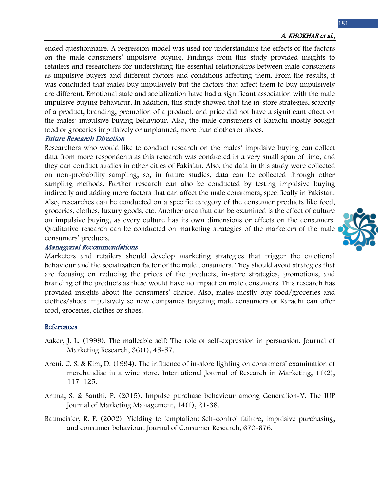181

ended questionnaire. A regression model was used for understanding the effects of the factors on the male consumers' impulsive buying. Findings from this study provided insights to retailers and researchers for understating the essential relationships between male consumers as impulsive buyers and different factors and conditions affecting them. From the results, it was concluded that males buy impulsively but the factors that affect them to buy impulsively are different. Emotional state and socialization have had a significant association with the male impulsive buying behaviour. In addition, this study showed that the in-store strategies, scarcity of a product, branding, promotion of a product, and price did not have a significant effect on the males' impulsive buying behaviour. Also, the male consumers of Karachi mostly bought food or groceries impulsively or unplanned, more than clothes or shoes.

#### Future Research Direction

Researchers who would like to conduct research on the males' impulsive buying can collect data from more respondents as this research was conducted in a very small span of time, and they can conduct studies in other cities of Pakistan. Also, the data in this study were collected on non-probability sampling; so, in future studies, data can be collected through other sampling methods. Further research can also be conducted by testing impulsive buying indirectly and adding more factors that can affect the male consumers, specifically in Pakistan. Also, researches can be conducted on a specific category of the consumer products like food, groceries, clothes, luxury goods, etc. Another area that can be examined is the effect of culture on impulsive buying, as every culture has its own dimensions or effects on the consumers. Qualitative research can be conducted on marketing strategies of the marketers of the male consumers' products.

#### Managerial Recommendations

Marketers and retailers should develop marketing strategies that trigger the emotional behaviour and the socialization factor of the male consumers. They should avoid strategies that are focusing on reducing the prices of the products, in-store strategies, promotions, and branding of the products as these would have no impact on male consumers. This research has provided insights about the consumers' choice. Also, males mostly buy food/groceries and clothes/shoes impulsively so new companies targeting male consumers of Karachi can offer food, groceries, clothes or shoes.

#### References

- Aaker, J. L. (1999). The malleable self: The role of self-expression in persuasion. Journal of Marketing Research, 36(1), 45-57.
- Areni, C. S. & Kim, D. (1994). The influence of in-store lighting on consumers' examination of merchandise in a wine store. International Journal of Research in Marketing, 11(2), 117–125.
- Aruna, S. & Santhi, P. (2015). Impulse purchase behaviour among Generation-Y. The IUP Journal of Marketing Management, 14(1), 21-38.
- Baumeister, R. F. (2002). Yielding to temptation: Self-control failure, impulsive purchasing, and consumer behaviour. Journal of Consumer Research, 670-676.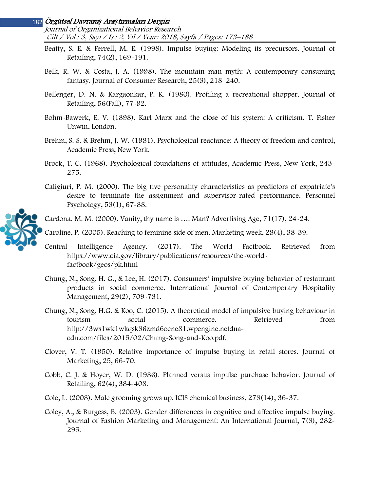Journal of Organizational Behavior Research Cilt / Vol.: 3, Sayı / Is.: 2, Yıl / Year: 2018, Sayfa / Pages: 173–188

- Beatty, S. E. & Ferrell, M. E. (1998). Impulse buying: Modeling its precursors. Journal of Retailing, 74(2), 169-191.
- Belk, R. W. & Costa, J. A. (1998). The mountain man myth: A contemporary consuming fantasy. Journal of Consumer Research, 25(3), 218–240.
- Bellenger, D. N. & Kargaonkar, P. K. (1980). Profiling a recreational shopper. Journal of Retailing, 56(Fall), 77-92.
- Bohm-Bawerk, E. V. (1898). Karl Marx and the close of his system: A criticism. T. Fisher Unwin, London.
- Brehm, S. S. & Brehm, J. W. (1981). Psychological reactance: A theory of freedom and control, Academic Press, New York.
- Brock, T. C. (1968). Psychological foundations of attitudes, Academic Press, New York, 243- 275.
- Caligiuri, P. M. (2000). The big five personality characteristics as predictors of expatriate's desire to terminate the assignment and supervisor-rated performance. Personnel Psychology, 53(1), 67-88.



- Caroline, P. (2005). Reaching to feminine side of men. Marketing week, 28(4), 38-39.
- Central Intelligence Agency. (2017). The World Factbook. Retrieved from https://www.cia.gov/library/publications/resources/the-worldfactbook/geos/pk.html
- Chung, N., Song, H. G., & Lee, H. (2017). Consumers' impulsive buying behavior of restaurant products in social commerce. International Journal of Contemporary Hospitality Management, 29(2), 709-731.
- Chung, N., Song, H.G. & Koo, C. (2015). A theoretical model of impulsive buying behaviour in tourism social commerce. Retrieved from http://3ws1wk1wkqsk36zmd6ocne81.wpengine.netdnacdn.com/files/2015/02/Chung-Song-and-Koo.pdf.
- Clover, V. T. (1950). Relative importance of impulse buying in retail stores. Journal of Marketing, 25, 66-70.
- Cobb, C. J. & Hoyer, W. D. (1986). Planned versus impulse purchase behavior. Journal of Retailing, 62(4), 384-408.
- Cole, L. (2008). Male grooming grows up. ICIS chemical business, 273(14), 36-37.
- Coley, A., & Burgess, B. (2003). Gender differences in cognitive and affective impulse buying. Journal of Fashion Marketing and Management: An International Journal, 7(3), 282- 295.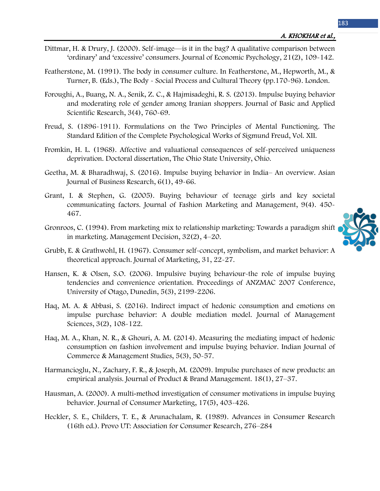- Dittmar, H. & Drury, J. (2000). Self-image—is it in the bag? A qualitative comparison between 'ordinary' and 'excessive' consumers. Journal of Economic Psychology, 21(2), 109-142.
- Featherstone, M. (1991). The body in consumer culture. In Featherstone, M., Hepworth, M., & Turner, B. (Eds.), The Body - Social Process and Cultural Theory (pp.170-96). London.
- Foroughi, A., Buang, N. A., Senik, Z. C., & Hajmisadeghi, R. S. (2013). Impulse buying behavior and moderating role of gender among Iranian shoppers. Journal of Basic and Applied Scientific Research, 3(4), 760-69.
- Freud, S. (1896-1911). Formulations on the Two Principles of Mental Functioning. The Standard Edition of the Complete Psychological Works of Sigmund Freud, Vol. XII.
- Fromkin, H. L. (1968). Affective and valuational consequences of self-perceived uniqueness deprivation. Doctoral dissertation, The Ohio State University, Ohio.
- Geetha, M. & Bharadhwaj, S. (2016). Impulse buying behavior in India– An overview. Asian Journal of Business Research, 6(1), 49-66.
- Grant, I. & Stephen, G. (2005). Buying behaviour of teenage girls and key societal communicating factors. Journal of Fashion Marketing and Management, 9(4). 450- 467.
- Gronroos, C. (1994). From marketing mix to relationship marketing: Towards a paradigm shift in marketing. Management Decision, 32(2), 4–20.



- Grubb, E. & Grathwohl, H. (1967). Consumer self-concept, symbolism, and market behavior: A theoretical approach. Journal of Marketing, 31, 22-27.
- Hansen, K. & Olsen, S.O. (2006). Impulsive buying behaviour-the role of impulse buying tendencies and convenience orientation. Proceedings of ANZMAC 2007 Conference, University of Otago, Dunedin, 5(3), 2199-2206.
- Haq, M. A. & Abbasi, S. (2016). Indirect impact of hedonic consumption and emotions on impulse purchase behavior: A double mediation model. Journal of Management Sciences, 3(2), 108-122.
- Haq, M. A., Khan, N. R., & Ghouri, A. M. (2014). Measuring the mediating impact of hedonic consumption on fashion involvement and impulse buying behavior. Indian Journal of Commerce & Management Studies, 5(3), 50-57.
- Harmancioglu, N., Zachary, F. R., & Joseph, M. (2009). Impulse purchases of new products: an empirical analysis. Journal of Product & Brand Management. 18(1), 27–37.
- Hausman, A. (2000). A multi-method investigation of consumer motivations in impulse buying behavior. Journal of Consumer Marketing, 17(5), 403-426.
- Heckler, S. E., Childers, T. E., & Arunachalam, R. (1989). Advances in Consumer Research (16th ed.). Provo UT: Association for Consumer Research, 276–284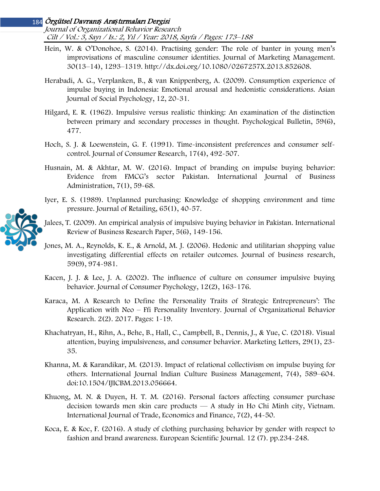Journal of Organizational Behavior Research Cilt / Vol.: 3, Sayı / Is.: 2, Yıl / Year: 2018, Sayfa / Pages: 173–188

- Hein, W. & O'Donohoe, S. (2014). Practising gender: The role of banter in young men's improvisations of masculine consumer identities. Journal of Marketing Management. 30(13–14), 1293–1319. http://dx.doi.org/10.1080/0267257X.2013.852608.
- Herabadi, A. G., Verplanken, B., & van Knippenberg, A. (2009). Consumption experience of impulse buying in Indonesia: Emotional arousal and hedonistic considerations. Asian Journal of Social Psychology, 12, 20-31.
- Hilgard, E. R. (1962). Impulsive versus realistic thinking: An examination of the distinction between primary and secondary processes in thought. Psychological Bulletin, 59(6), 477.
- Hoch, S. J. & Loewenstein, G. F. (1991). Time-inconsistent preferences and consumer selfcontrol. Journal of Consumer Research, 17(4), 492-507.
- Husnain, M. & Akhtar, M. W. (2016). Impact of branding on impulse buying behavior: Evidence from FMCG's sector Pakistan. International Journal of Business Administration, 7(1), 59-68.
- Iyer, E. S. (1989). Unplanned purchasing: Knowledge of shopping environment and time pressure. Journal of Retailing, 65(1), 40-57.
- Jalees, T. (2009). An empirical analysis of impulsive buying behavior in Pakistan. International Review of Business Research Paper, 5(6), 149-156.
- Jones, M. A., Reynolds, K. E., & Arnold, M. J. (2006). Hedonic and utilitarian shopping value investigating differential effects on retailer outcomes. Journal of business research, 59(9), 974-981.
- Kacen, J. J. & Lee, J. A. (2002). The influence of culture on consumer impulsive buying behavior. Journal of Consumer Psychology, 12(2), 163-176.
- Karaca, M. A Research to Define the Personality Traits of Strategic Entrepreneurs': The Application with Neo – Ffi Personality Inventory. Journal of Organizational Behavior Research. 2(2). 2017. Pages: 1-19.
- Khachatryan, H., Rihn, A., Behe, B., Hall, C., Campbell, B., Dennis, J., & Yue, C. (2018). Visual attention, buying impulsiveness, and consumer behavior. Marketing Letters, 29(1), 23- 35.
- Khanna, M. & Karandikar, M. (2013). Impact of relational collectivism on impulse buying for others. International Journal Indian Culture Business Management, 7(4), 589–604. doi:10.1504/IJICBM.2013.056664.
- Khuong, M. N. & Duyen, H. T. M. (2016). Personal factors affecting consumer purchase decision towards men skin care products — A study in Ho Chi Minh city, Vietnam. International Journal of Trade, Economics and Finance, 7(2), 44-50.
- Koca, E. & Koc, F. (2016). A study of clothing purchasing behavior by gender with respect to fashion and brand awareness. European Scientific Journal. 12 (7). pp.234-248.

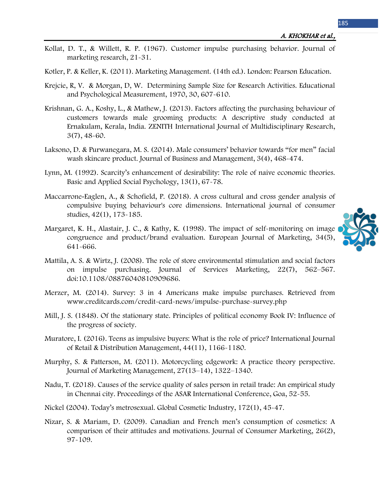- Kollat, D. T., & Willett, R. P. (1967). Customer impulse purchasing behavior. Journal of marketing research, 21-31.
- Kotler, P. & Keller, K. (2011). Marketing Management. (14th ed.). London: Pearson Education.
- Krejcie, R, V. & Morgan, D, W. Determining Sample Size for Research Activities. Educational and Psychological Measurement, 1970, 30, 607-610.
- Krishnan, G. A., Koshy, L., & Mathew, J. (2013). Factors affecting the purchasing behaviour of customers towards male grooming products: A descriptive study conducted at Ernakulam, Kerala, India. ZENITH International Journal of Multidisciplinary Research, 3(7), 48-60.
- Laksono, D. & Purwanegara, M. S. (2014). Male consumers' behavior towards "for men" facial wash skincare product. Journal of Business and Management, 3(4), 468-474.
- Lynn, M. (1992). Scarcity's enhancement of desirability: The role of naive economic theories. Basic and Applied Social Psychology, 13(1), 67-78.
- Maccarrone-Eaglen, A., & Schofield, P. (2018). A cross cultural and cross gender analysis of compulsive buying behaviour's core dimensions. International journal of consumer studies, 42(1), 173-185.
- Margaret, K. H., Alastair, J. C., & Kathy, K. (1998). The impact of self-monitoring on image congruence and product/brand evaluation. European Journal of Marketing, 34(5), 641-666.
- Mattila, A. S. & Wirtz, J. (2008). The role of store environmental stimulation and social factors on impulse purchasing. Journal of Services Marketing, 22(7), 562–567. doi:10.1108/08876040810909686.
- Merzer, M. (2014). Survey: 3 in 4 Americans make impulse purchases. Retrieved from www.creditcards.com/credit-card-news/impulse-purchase-survey.php
- Mill, J. S. (1848). Of the stationary state. Principles of political economy Book IV: Influence of the progress of society.
- Muratore, I. (2016). Teens as impulsive buyers: What is the role of price? International Journal of Retail & Distribution Management, 44(11), 1166-1180.
- Murphy, S. & Patterson, M. (2011). Motorcycling edgework: A practice theory perspective. Journal of Marketing Management, 27(13–14), 1322–1340.
- Nadu, T. (2018). Causes of the service quality of sales person in retail trade: An empirical study in Chennai city. Proceedings of the ASAR International Conference, Goa, 52-55.
- Nickel (2004). Today's metrosexual. Global Cosmetic Industry, 172(1), 45-47.
- Nizar, S. & Mariam, D. (2009). Canadian and French men's consumption of cosmetics: A comparison of their attitudes and motivations. Journal of Consumer Marketing, 26(2), 97-109.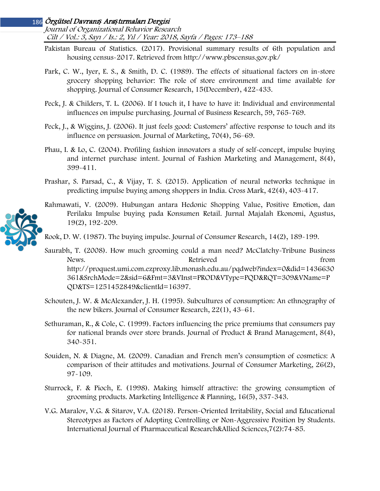Journal of Organizational Behavior Research Cilt / Vol.: 3, Sayı / Is.: 2, Yıl / Year: 2018, Sayfa / Pages: 173–188

- Pakistan Bureau of Statistics. (2017). Provisional summary results of 6th population and housing census-2017. Retrieved from http://www.pbscensus.gov.pk/
- Park, C. W., Iyer, E. S., & Smith, D. C. (1989). The effects of situational factors on in-store grocery shopping behavior: The role of store environment and time available for shopping. Journal of Consumer Research, 15(December), 422-433.
- Peck, J. & Childers, T. L. (2006). If I touch it, I have to have it: Individual and environmental influences on impulse purchasing. Journal of Business Research, 59, 765-769.
- Peck, J., & Wiggins, J. (2006). It just feels good: Customers' affective response to touch and its influence on persuasion. Journal of Marketing, 70(4), 56–69.
- Phau, I. & Lo, C. (2004). Profiling fashion innovators a study of self-concept, impulse buying and internet purchase intent. Journal of Fashion Marketing and Management, 8(4), 399-411.
- Prashar, S. Parsad, C., & Vijay, T. S. (2015). Application of neural networks technique in predicting impulse buying among shoppers in India. Cross Mark, 42(4), 403-417.
- Rahmawati, V. (2009). Hubungan antara Hedonic Shopping Value, Positive Emotion, dan Perilaku Impulse buying pada Konsumen Retail. Jurnal Majalah Ekonomi, Agustus, 19(2), 192-209.

Rook, D. W. (1987). The buying impulse. Journal of Consumer Research, 14(2), 189-199.

- Saurabh, T. (2008). How much grooming could a man need? McClatchy-Tribune Business News. The results of the Retrieved from the set of the set of the set of the set of the set of the set of the set of the set of the set of the set of the set of the set of the set of the set of the set of the set of the se http://proquest.umi.com.ezproxy.lib.monash.edu.au/pqdweb?index=0&did=1436630 361&SrchMode=2&sid=6&Fmt=3&VInst=PROD&VType=PQD&RQT=309&VName=P QD&TS=1251452849&clientId=16397.
- Schouten, J. W. & McAlexander, J. H. (1995). Subcultures of consumption: An ethnography of the new bikers. Journal of Consumer Research, 22(1), 43–61.
- Sethuraman, R., & Cole, C. (1999). Factors influencing the price premiums that consumers pay for national brands over store brands. Journal of Product & Brand Management, 8(4), 340-351.
- Souiden, N. & Diagne, M. (2009). Canadian and French men's consumption of cosmetics: A comparison of their attitudes and motivations. Journal of Consumer Marketing, 26(2), 97-109.
- Sturrock, F. & Pioch, E. (1998). Making himself attractive: the growing consumption of grooming products. Marketing Intelligence & Planning, 16(5), 337-343.
- V.G. Maralov, V.G. & Sitarov, V.A. (2018). Person-Oriented Irritability, Social and Educational Stereotypes as Factors of Adopting Controlling or Non-Aggressive Position by Students. International Journal of Pharmaceutical Research&Allied Sciences,7(2):74-85.

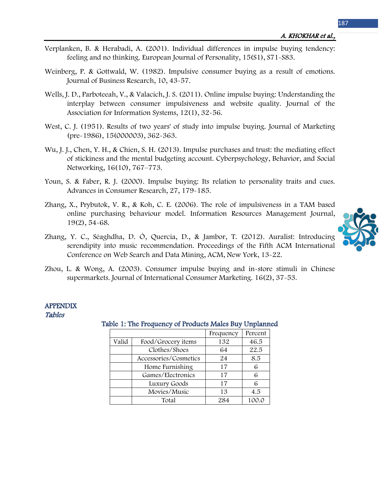- Verplanken, B. & Herabadi, A. (2001). Individual differences in impulse buying tendency: feeling and no thinking. European Journal of Personality, 15(S1), S71-S83.
- Weinberg, P. & Gottwald, W. (1982). Impulsive consumer buying as a result of emotions. Journal of Business Research, 10, 43-57.
- Wells, J. D., Parboteeah, V., & Valacich, J. S. (2011). Online impulse buying: Understanding the interplay between consumer impulsiveness and website quality. Journal of the Association for Information Systems, 12(1), 32-56.
- West, C. J. (1951). Results of two years' of study into impulse buying. Journal of Marketing (pre-1986), 15(000003), 362-363.
- Wu, J. J., Chen, Y. H., & Chien, S. H. (2013). Impulse purchases and trust: the mediating effect of stickiness and the mental budgeting account. Cyberpsychology, Behavior, and Social Networking, 16(10), 767–773.
- Youn, S. & Faber, R. J. (2000). Impulse buying: Its relation to personality traits and cues. Advances in Consumer Research, 27, 179-185.
- Zhang, X., Prybutok, V. R., & Koh, C. E. (2006). The role of impulsiveness in a TAM based online purchasing behaviour model. Information Resources Management Journal, 19(2), 54-68.
- Zhang, Y. C., Séaghdha, D. Ó, Quercia, D., & Jambor, T. (2012). Auralist: Introducing serendipity into music recommendation. Proceedings of the Fifth ACM International Conference on Web Search and Data Mining, ACM, New York, 13-22.
- Zhou, L. & Wong, A. (2003). Consumer impulse buying and in-store stimuli in Chinese supermarkets. Journal of International Consumer Marketing. 16(2), 37-53.

#### <span id="page-14-0"></span>APPENDIX Tables

### Frequency Percent Valid Food/Grocery items 132 46.5 Clothes/Shoes 64 22.5 Accessories/Cosmetics 24 8.5 Home Furnishing 17 6 Games/Electronics 17 6 Luxury Goods 17 6 Movies/Music 13 4.5 Total 284 100.0

## Table 1: The Frequency of Products Males Buy Unplanned